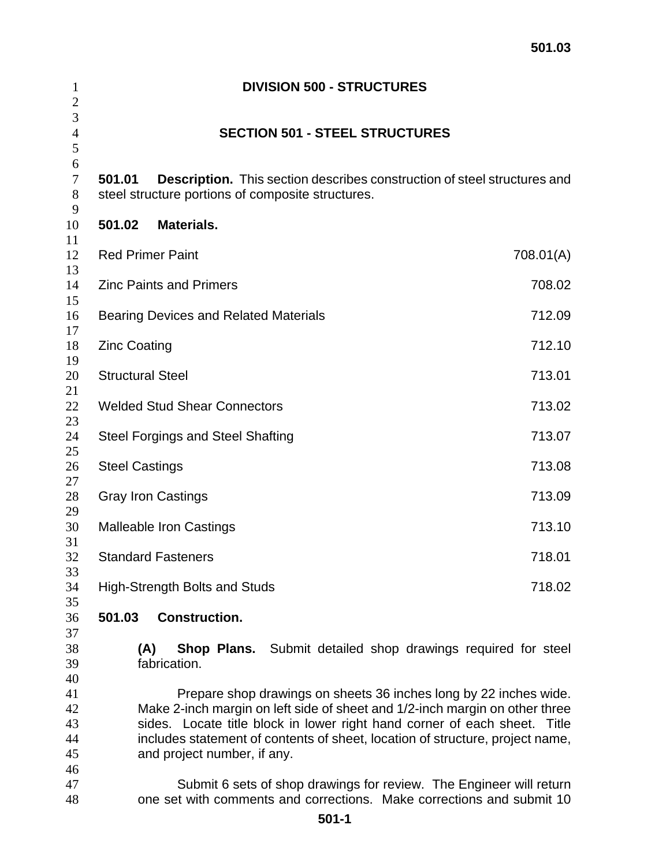| 1<br>$\mathbf{2}$                | <b>DIVISION 500 - STRUCTURES</b>                                                                                                                                                                                                                                                                                                              |           |  |  |  |
|----------------------------------|-----------------------------------------------------------------------------------------------------------------------------------------------------------------------------------------------------------------------------------------------------------------------------------------------------------------------------------------------|-----------|--|--|--|
| 3<br>$\overline{4}$<br>5         | <b>SECTION 501 - STEEL STRUCTURES</b>                                                                                                                                                                                                                                                                                                         |           |  |  |  |
| 6<br>$\tau$<br>$8\,$             | <b>Description.</b> This section describes construction of steel structures and<br>501.01<br>steel structure portions of composite structures.                                                                                                                                                                                                |           |  |  |  |
| 9<br>10                          | 501.02<br><b>Materials.</b>                                                                                                                                                                                                                                                                                                                   |           |  |  |  |
| 11<br>12                         | <b>Red Primer Paint</b>                                                                                                                                                                                                                                                                                                                       | 708.01(A) |  |  |  |
| 13<br>14                         | <b>Zinc Paints and Primers</b>                                                                                                                                                                                                                                                                                                                | 708.02    |  |  |  |
| 15<br>16                         | <b>Bearing Devices and Related Materials</b>                                                                                                                                                                                                                                                                                                  | 712.09    |  |  |  |
| 17<br>18                         | <b>Zinc Coating</b>                                                                                                                                                                                                                                                                                                                           | 712.10    |  |  |  |
| 19<br>20                         | <b>Structural Steel</b>                                                                                                                                                                                                                                                                                                                       | 713.01    |  |  |  |
| 21<br>22                         | <b>Welded Stud Shear Connectors</b><br>713.02                                                                                                                                                                                                                                                                                                 |           |  |  |  |
| 23<br>24                         | <b>Steel Forgings and Steel Shafting</b><br>713.07                                                                                                                                                                                                                                                                                            |           |  |  |  |
| 25<br>26                         | <b>Steel Castings</b>                                                                                                                                                                                                                                                                                                                         | 713.08    |  |  |  |
| 27<br>28                         | <b>Gray Iron Castings</b>                                                                                                                                                                                                                                                                                                                     | 713.09    |  |  |  |
| 29<br>30                         | 713.10<br><b>Malleable Iron Castings</b>                                                                                                                                                                                                                                                                                                      |           |  |  |  |
| 31<br>32                         | <b>Standard Fasteners</b><br>718.01                                                                                                                                                                                                                                                                                                           |           |  |  |  |
| 33<br>34                         | <b>High-Strength Bolts and Studs</b>                                                                                                                                                                                                                                                                                                          | 718.02    |  |  |  |
| 35<br>36                         | <b>Construction.</b><br>501.03                                                                                                                                                                                                                                                                                                                |           |  |  |  |
| 37<br>38<br>39<br>40             | (A)<br><b>Shop Plans.</b> Submit detailed shop drawings required for steel<br>fabrication.                                                                                                                                                                                                                                                    |           |  |  |  |
| 41<br>42<br>43<br>44<br>45<br>46 | Prepare shop drawings on sheets 36 inches long by 22 inches wide.<br>Make 2-inch margin on left side of sheet and 1/2-inch margin on other three<br>sides. Locate title block in lower right hand corner of each sheet. Title<br>includes statement of contents of sheet, location of structure, project name,<br>and project number, if any. |           |  |  |  |
| 47<br>48                         | Submit 6 sets of shop drawings for review. The Engineer will return<br>one set with comments and corrections. Make corrections and submit 10                                                                                                                                                                                                  |           |  |  |  |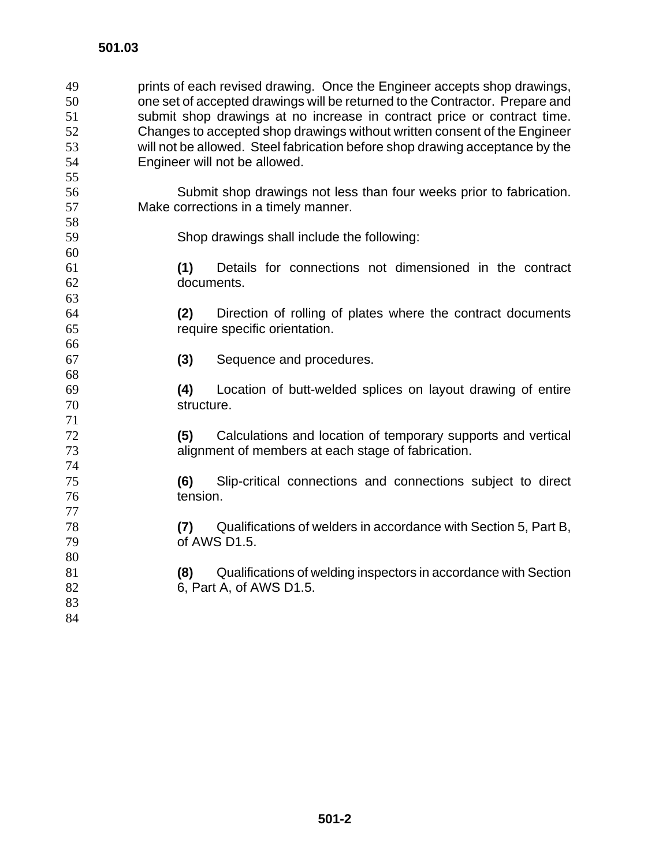| 49 |                                                                           | prints of each revised drawing. Once the Engineer accepts shop drawings,     |  |  |
|----|---------------------------------------------------------------------------|------------------------------------------------------------------------------|--|--|
| 50 |                                                                           | one set of accepted drawings will be returned to the Contractor. Prepare and |  |  |
| 51 |                                                                           | submit shop drawings at no increase in contract price or contract time.      |  |  |
| 52 | Changes to accepted shop drawings without written consent of the Engineer |                                                                              |  |  |
| 53 |                                                                           | will not be allowed. Steel fabrication before shop drawing acceptance by the |  |  |
| 54 |                                                                           | Engineer will not be allowed.                                                |  |  |
| 55 |                                                                           |                                                                              |  |  |
| 56 |                                                                           | Submit shop drawings not less than four weeks prior to fabrication.          |  |  |
| 57 |                                                                           | Make corrections in a timely manner.                                         |  |  |
| 58 |                                                                           |                                                                              |  |  |
| 59 |                                                                           | Shop drawings shall include the following:                                   |  |  |
| 60 |                                                                           |                                                                              |  |  |
| 61 | (1)                                                                       | Details for connections not dimensioned in the contract                      |  |  |
| 62 |                                                                           | documents.                                                                   |  |  |
| 63 |                                                                           |                                                                              |  |  |
| 64 | (2)                                                                       | Direction of rolling of plates where the contract documents                  |  |  |
| 65 |                                                                           | require specific orientation.                                                |  |  |
| 66 |                                                                           |                                                                              |  |  |
| 67 | (3)                                                                       | Sequence and procedures.                                                     |  |  |
| 68 |                                                                           |                                                                              |  |  |
| 69 | (4)                                                                       | Location of butt-welded splices on layout drawing of entire                  |  |  |
| 70 |                                                                           | structure.                                                                   |  |  |
| 71 |                                                                           |                                                                              |  |  |
| 72 | (5)                                                                       | Calculations and location of temporary supports and vertical                 |  |  |
| 73 |                                                                           | alignment of members at each stage of fabrication.                           |  |  |
| 74 |                                                                           |                                                                              |  |  |
| 75 | (6)                                                                       | Slip-critical connections and connections subject to direct                  |  |  |
| 76 | tension.                                                                  |                                                                              |  |  |
| 77 |                                                                           |                                                                              |  |  |
| 78 | (7)                                                                       | Qualifications of welders in accordance with Section 5, Part B,              |  |  |
| 79 |                                                                           | of AWS D1.5.                                                                 |  |  |
| 80 |                                                                           |                                                                              |  |  |
| 81 | (8)                                                                       | Qualifications of welding inspectors in accordance with Section              |  |  |
| 82 |                                                                           | 6, Part A, of AWS D1.5.                                                      |  |  |
| 83 |                                                                           |                                                                              |  |  |
| 84 |                                                                           |                                                                              |  |  |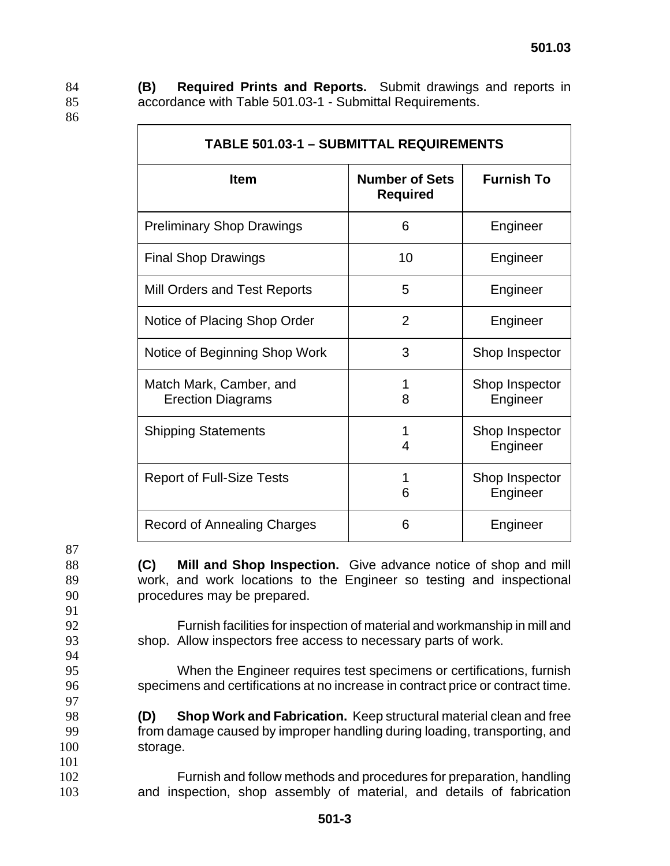86

84 **(B) Required Prints and Reports.** Submit drawings and reports in 85 accordance with Table 501.03-1 - Submittal Requirements.

| <b>TABLE 501.03-1 - SUBMITTAL REQUIREMENTS</b>      |                                          |                            |  |  |
|-----------------------------------------------------|------------------------------------------|----------------------------|--|--|
| <b>Item</b>                                         | <b>Number of Sets</b><br><b>Required</b> | <b>Furnish To</b>          |  |  |
| <b>Preliminary Shop Drawings</b>                    | 6                                        | Engineer                   |  |  |
| <b>Final Shop Drawings</b>                          | 10                                       | Engineer                   |  |  |
| Mill Orders and Test Reports                        | 5                                        | Engineer                   |  |  |
| Notice of Placing Shop Order                        | $\overline{2}$                           | Engineer                   |  |  |
| Notice of Beginning Shop Work                       | 3                                        | Shop Inspector             |  |  |
| Match Mark, Camber, and<br><b>Erection Diagrams</b> | 1<br>8                                   | Shop Inspector<br>Engineer |  |  |
| <b>Shipping Statements</b>                          | 4                                        | Shop Inspector<br>Engineer |  |  |
| <b>Report of Full-Size Tests</b>                    | 1<br>6                                   | Shop Inspector<br>Engineer |  |  |
| <b>Record of Annealing Charges</b>                  | 6                                        | Engineer                   |  |  |

87

88 **(C) Mill and Shop Inspection.** Give advance notice of shop and mill 89 work, and work locations to the Engineer so testing and inspectional 90 procedures may be prepared.

- 91
- 
- 94

97

101

92 Furnish facilities for inspection of material and workmanship in mill and 93 shop. Allow inspectors free access to necessary parts of work.

95 When the Engineer requires test specimens or certifications, furnish 96 specimens and certifications at no increase in contract price or contract time.

98 **(D) Shop Work and Fabrication.** Keep structural material clean and free 99 from damage caused by improper handling during loading, transporting, and 100 storage.

102 Furnish and follow methods and procedures for preparation, handling 103 and inspection, shop assembly of material, and details of fabrication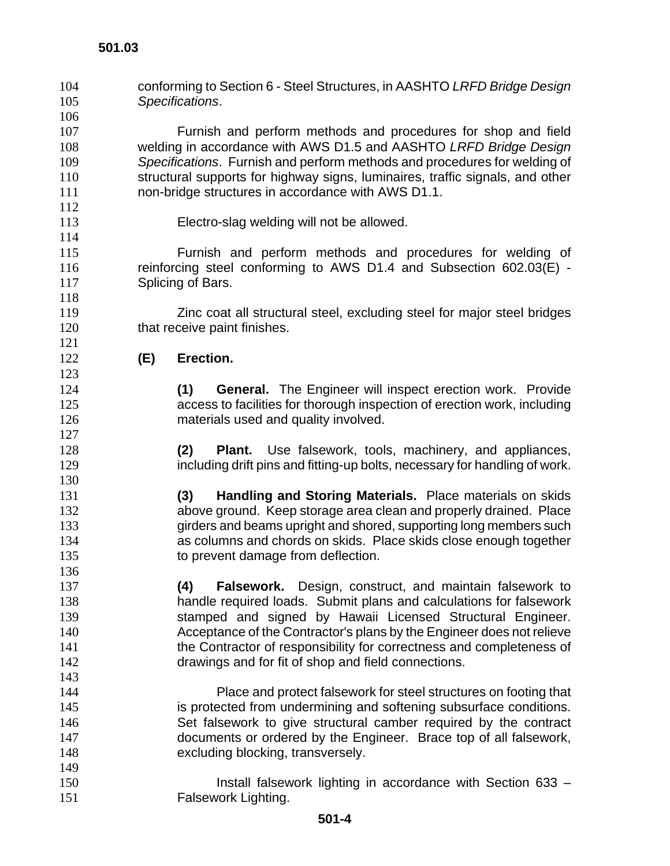conforming to Section 6 - Steel Structures, in AASHTO *LRFD Bridge Design Specifications*. Furnish and perform methods and procedures for shop and field welding in accordance with AWS D1.5 and AASHTO *LRFD Bridge Design Specifications*. Furnish and perform methods and procedures for welding of structural supports for highway signs, luminaires, traffic signals, and other non-bridge structures in accordance with AWS D1.1. Electro-slag welding will not be allowed. Furnish and perform methods and procedures for welding of reinforcing steel conforming to AWS D1.4 and Subsection 602.03(E) - 117 Splicing of Bars. Zinc coat all structural steel, excluding steel for major steel bridges 120 that receive paint finishes. **(E) Erection. (1) General.** The Engineer will inspect erection work. Provide access to facilities for thorough inspection of erection work, including materials used and quality involved. **(2) Plant.** Use falsework, tools, machinery, and appliances, 129 including drift pins and fitting-up bolts, necessary for handling of work. **(3) Handling and Storing Materials.** Place materials on skids above ground. Keep storage area clean and properly drained. Place girders and beams upright and shored, supporting long members such as columns and chords on skids. Place skids close enough together 135 to prevent damage from deflection. **(4) Falsework.** Design, construct, and maintain falsework to handle required loads. Submit plans and calculations for falsework stamped and signed by Hawaii Licensed Structural Engineer. Acceptance of the Contractor's plans by the Engineer does not relieve 141 the Contractor of responsibility for correctness and completeness of drawings and for fit of shop and field connections. Place and protect falsework for steel structures on footing that is protected from undermining and softening subsurface conditions. Set falsework to give structural camber required by the contract documents or ordered by the Engineer. Brace top of all falsework, 148 excluding blocking, transversely. Install falsework lighting in accordance with Section 633 – **Falsework Lighting.**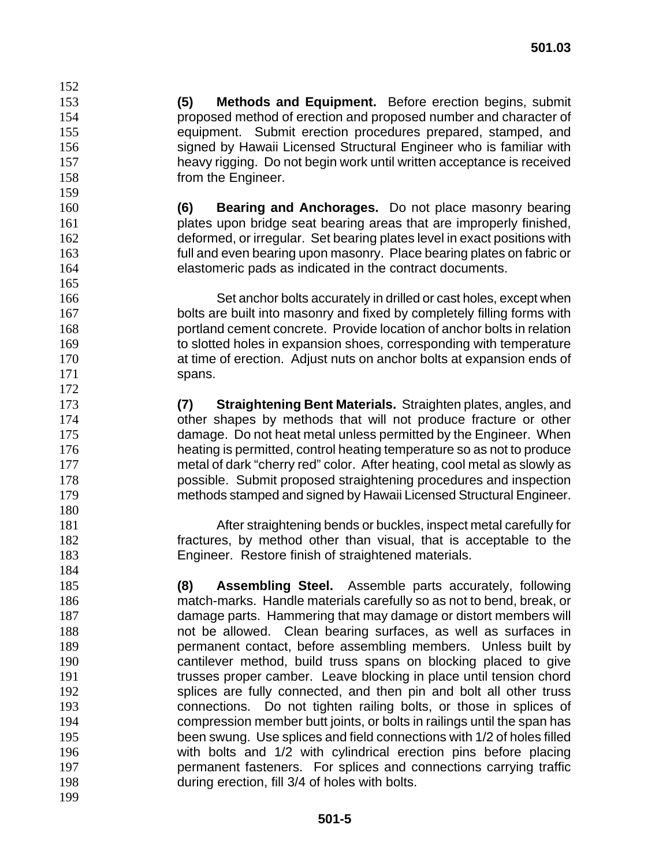**(5) Methods and Equipment.** Before erection begins, submit proposed method of erection and proposed number and character of equipment. Submit erection procedures prepared, stamped, and signed by Hawaii Licensed Structural Engineer who is familiar with heavy rigging. Do not begin work until written acceptance is received **from the Engineer.** 

**(6) Bearing and Anchorages.** Do not place masonry bearing plates upon bridge seat bearing areas that are improperly finished, deformed, or irregular. Set bearing plates level in exact positions with full and even bearing upon masonry. Place bearing plates on fabric or elastomeric pads as indicated in the contract documents.

Set anchor bolts accurately in drilled or cast holes, except when 167 bolts are built into masonry and fixed by completely filling forms with portland cement concrete. Provide location of anchor bolts in relation 169 to slotted holes in expansion shoes, corresponding with temperature at time of erection. Adjust nuts on anchor bolts at expansion ends of 171 spans.

**(7) Straightening Bent Materials.** Straighten plates, angles, and other shapes by methods that will not produce fracture or other damage. Do not heat metal unless permitted by the Engineer. When heating is permitted, control heating temperature so as not to produce metal of dark "cherry red" color. After heating, cool metal as slowly as possible. Submit proposed straightening procedures and inspection methods stamped and signed by Hawaii Licensed Structural Engineer.

After straightening bends or buckles, inspect metal carefully for fractures, by method other than visual, that is acceptable to the Engineer. Restore finish of straightened materials.

**(8) Assembling Steel.** Assemble parts accurately, following match-marks. Handle materials carefully so as not to bend, break, or damage parts. Hammering that may damage or distort members will not be allowed. Clean bearing surfaces, as well as surfaces in permanent contact, before assembling members. Unless built by cantilever method, build truss spans on blocking placed to give trusses proper camber. Leave blocking in place until tension chord splices are fully connected, and then pin and bolt all other truss connections. Do not tighten railing bolts, or those in splices of compression member butt joints, or bolts in railings until the span has been swung. Use splices and field connections with 1/2 of holes filled with bolts and 1/2 with cylindrical erection pins before placing permanent fasteners. For splices and connections carrying traffic during erection, fill 3/4 of holes with bolts.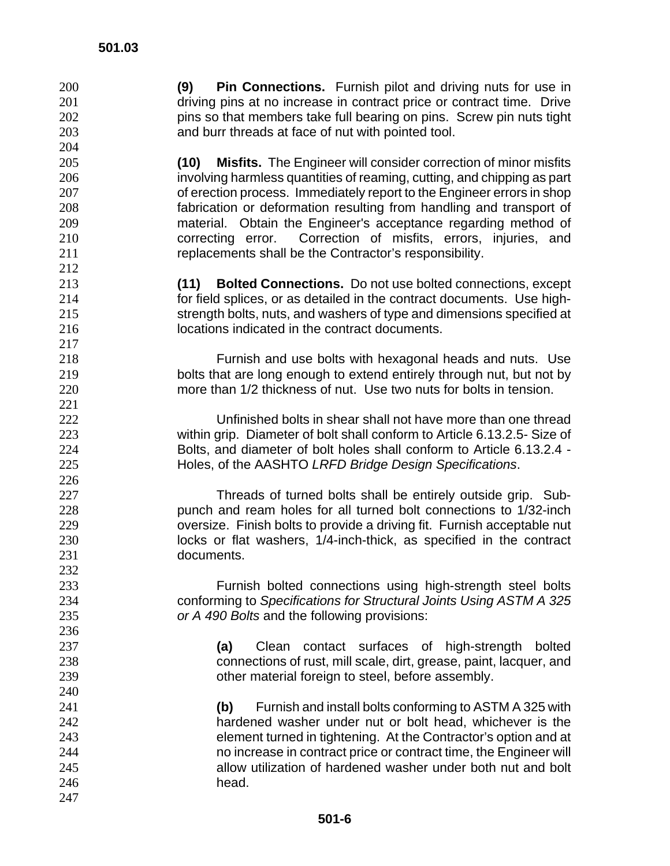**(9) Pin Connections.** Furnish pilot and driving nuts for use in 201 driving pins at no increase in contract price or contract time. Drive **pins so that members take full bearing on pins. Screw pin nuts tight** and burr threads at face of nut with pointed tool.

**(10) Misfits.** The Engineer will consider correction of minor misfits involving harmless quantities of reaming, cutting, and chipping as part of erection process. Immediately report to the Engineer errors in shop fabrication or deformation resulting from handling and transport of material. Obtain the Engineer's acceptance regarding method of correcting error. Correction of misfits, errors, injuries, and replacements shall be the Contractor's responsibility.

**(11) Bolted Connections.** Do not use bolted connections, except for field splices, or as detailed in the contract documents. Use high-strength bolts, nuts, and washers of type and dimensions specified at locations indicated in the contract documents.

Furnish and use bolts with hexagonal heads and nuts. Use bolts that are long enough to extend entirely through nut, but not by more than 1/2 thickness of nut. Use two nuts for bolts in tension.

Unfinished bolts in shear shall not have more than one thread within grip. Diameter of bolt shall conform to Article 6.13.2.5- Size of Bolts, and diameter of bolt holes shall conform to Article 6.13.2.4 - Holes, of the AASHTO *LRFD Bridge Design Specifications*.

Threads of turned bolts shall be entirely outside grip. Sub-punch and ream holes for all turned bolt connections to 1/32-inch oversize. Finish bolts to provide a driving fit. Furnish acceptable nut locks or flat washers, 1/4-inch-thick, as specified in the contract documents.

Furnish bolted connections using high-strength steel bolts conforming to *Specifications for Structural Joints Using ASTM A 325 or A 490 Bolts* and the following provisions:

**(a)** Clean contact surfaces of high-strength bolted connections of rust, mill scale, dirt, grease, paint, lacquer, and other material foreign to steel, before assembly.

**(b)** Furnish and install bolts conforming to ASTM A 325 with hardened washer under nut or bolt head, whichever is the element turned in tightening. At the Contractor's option and at no increase in contract price or contract time, the Engineer will allow utilization of hardened washer under both nut and bolt head.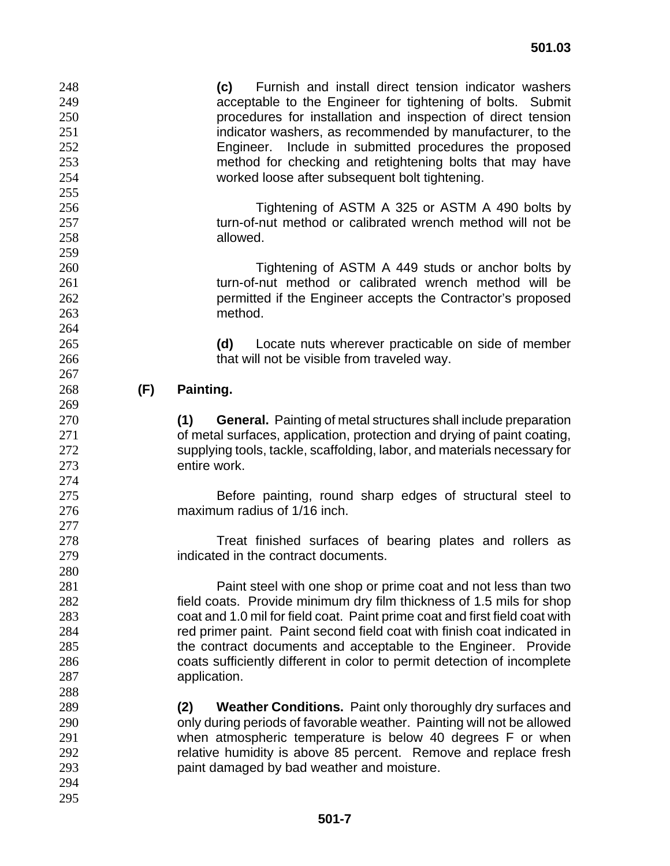**(c)** Furnish and install direct tension indicator washers acceptable to the Engineer for tightening of bolts. Submit procedures for installation and inspection of direct tension indicator washers, as recommended by manufacturer, to the Engineer. Include in submitted procedures the proposed method for checking and retightening bolts that may have worked loose after subsequent bolt tightening. Tightening of ASTM A 325 or ASTM A 490 bolts by 257 turn-of-nut method or calibrated wrench method will not be allowed. Tightening of ASTM A 449 studs or anchor bolts by turn-of-nut method or calibrated wrench method will be permitted if the Engineer accepts the Contractor's proposed method. **(d)** Locate nuts wherever practicable on side of member 266 that will not be visible from traveled way. **(F) Painting. (1) General.** Painting of metal structures shall include preparation of metal surfaces, application, protection and drying of paint coating, supplying tools, tackle, scaffolding, labor, and materials necessary for entire work. Before painting, round sharp edges of structural steel to maximum radius of 1/16 inch. **Treat finished surfaces of bearing plates and rollers as** indicated in the contract documents. Paint steel with one shop or prime coat and not less than two field coats. Provide minimum dry film thickness of 1.5 mils for shop coat and 1.0 mil for field coat. Paint prime coat and first field coat with 284 red primer paint. Paint second field coat with finish coat indicated in the contract documents and acceptable to the Engineer. Provide coats sufficiently different in color to permit detection of incomplete application. **(2) Weather Conditions.** Paint only thoroughly dry surfaces and only during periods of favorable weather. Painting will not be allowed when atmospheric temperature is below 40 degrees F or when relative humidity is above 85 percent. Remove and replace fresh paint damaged by bad weather and moisture.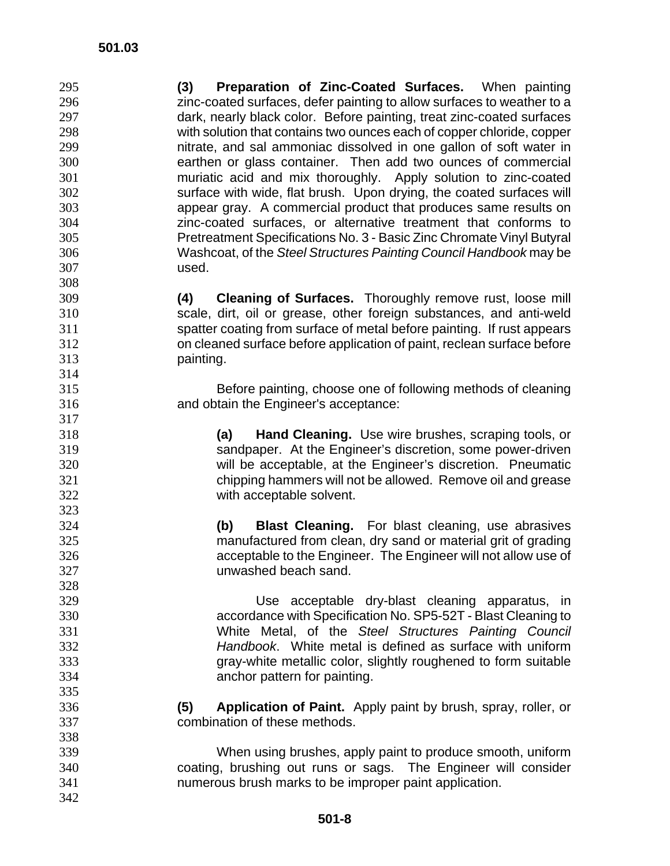**(3) Preparation of Zinc-Coated Surfaces.** When painting zinc-coated surfaces, defer painting to allow surfaces to weather to a dark, nearly black color. Before painting, treat zinc-coated surfaces with solution that contains two ounces each of copper chloride, copper nitrate, and sal ammoniac dissolved in one gallon of soft water in earthen or glass container. Then add two ounces of commercial muriatic acid and mix thoroughly. Apply solution to zinc-coated surface with wide, flat brush. Upon drying, the coated surfaces will appear gray. A commercial product that produces same results on zinc-coated surfaces, or alternative treatment that conforms to Pretreatment Specifications No. 3 - Basic Zinc Chromate Vinyl Butyral Washcoat, of the *Steel Structures Painting Council Handbook* may be used. 

**(4) Cleaning of Surfaces.** Thoroughly remove rust, loose mill scale, dirt, oil or grease, other foreign substances, and anti-weld spatter coating from surface of metal before painting. If rust appears on cleaned surface before application of paint, reclean surface before painting.

Before painting, choose one of following methods of cleaning and obtain the Engineer's acceptance:

**(a) Hand Cleaning.** Use wire brushes, scraping tools, or sandpaper. At the Engineer's discretion, some power-driven will be acceptable, at the Engineer's discretion. Pneumatic chipping hammers will not be allowed. Remove oil and grease with acceptable solvent.

**(b) Blast Cleaning.** For blast cleaning, use abrasives manufactured from clean, dry sand or material grit of grading acceptable to the Engineer. The Engineer will not allow use of unwashed beach sand.

Use acceptable dry-blast cleaning apparatus, in accordance with Specification No. SP5-52T - Blast Cleaning to White Metal, of the *Steel Structures Painting Council Handbook*. White metal is defined as surface with uniform gray-white metallic color, slightly roughened to form suitable anchor pattern for painting.

**(5) Application of Paint.** Apply paint by brush, spray, roller, or combination of these methods.

- When using brushes, apply paint to produce smooth, uniform coating, brushing out runs or sags. The Engineer will consider numerous brush marks to be improper paint application.
-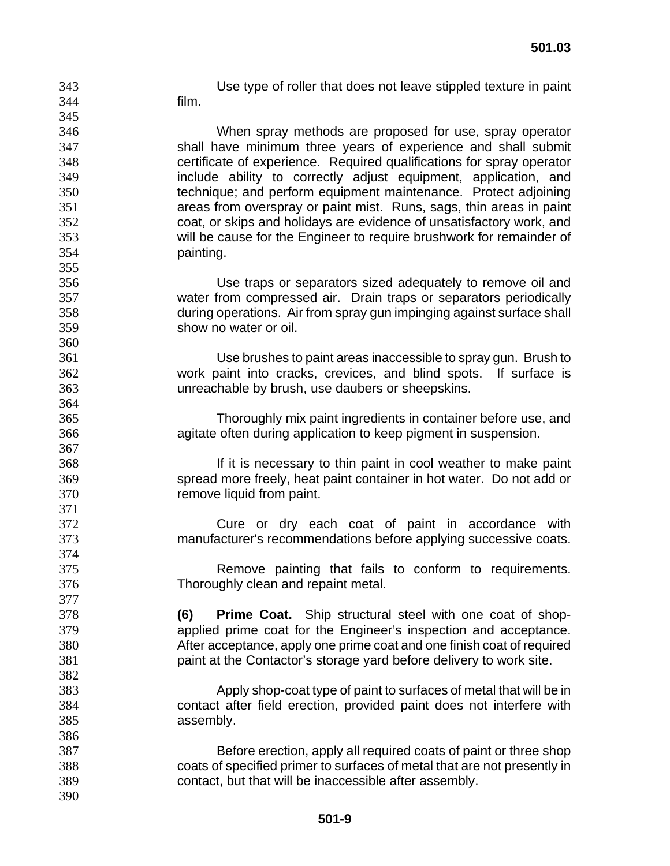film.

Use type of roller that does not leave stippled texture in paint

When spray methods are proposed for use, spray operator shall have minimum three years of experience and shall submit certificate of experience. Required qualifications for spray operator include ability to correctly adjust equipment, application, and technique; and perform equipment maintenance. Protect adjoining areas from overspray or paint mist. Runs, sags, thin areas in paint coat, or skips and holidays are evidence of unsatisfactory work, and will be cause for the Engineer to require brushwork for remainder of painting.

Use traps or separators sized adequately to remove oil and water from compressed air. Drain traps or separators periodically during operations. Air from spray gun impinging against surface shall show no water or oil.

Use brushes to paint areas inaccessible to spray gun. Brush to work paint into cracks, crevices, and blind spots. If surface is unreachable by brush, use daubers or sheepskins.

Thoroughly mix paint ingredients in container before use, and agitate often during application to keep pigment in suspension.

If it is necessary to thin paint in cool weather to make paint spread more freely, heat paint container in hot water. Do not add or remove liquid from paint.

Cure or dry each coat of paint in accordance with manufacturer's recommendations before applying successive coats.

Remove painting that fails to conform to requirements. Thoroughly clean and repaint metal.

**(6) Prime Coat.** Ship structural steel with one coat of shop-applied prime coat for the Engineer's inspection and acceptance. After acceptance, apply one prime coat and one finish coat of required paint at the Contactor's storage yard before delivery to work site.

- Apply shop-coat type of paint to surfaces of metal that will be in contact after field erection, provided paint does not interfere with assembly.
- Before erection, apply all required coats of paint or three shop coats of specified primer to surfaces of metal that are not presently in contact, but that will be inaccessible after assembly.
-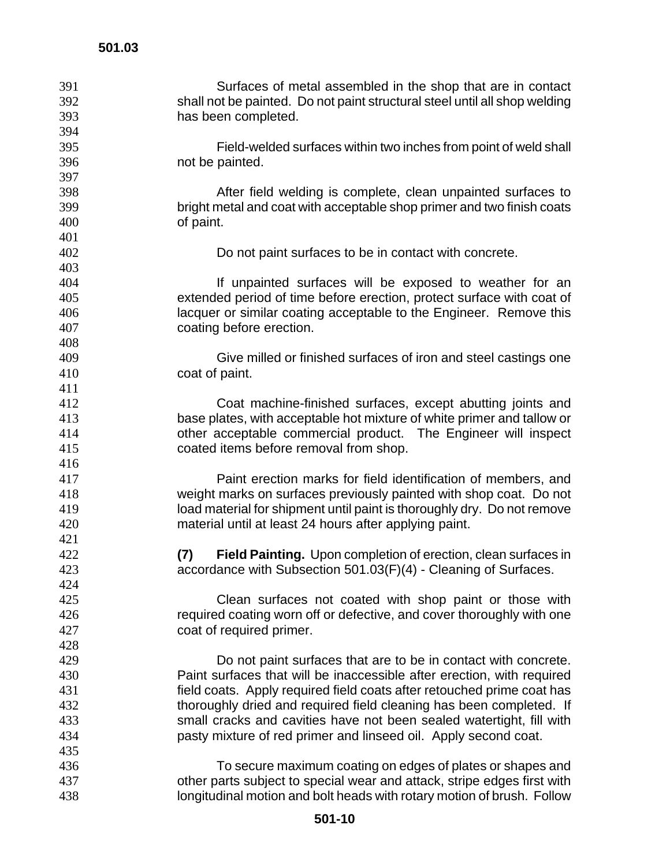| Surfaces of metal assembled in the shop that are in contact<br>392<br>shall not be painted. Do not paint structural steel until all shop welding<br>393<br>has been completed.<br>394<br>395<br>Field-welded surfaces within two inches from point of weld shall |  |
|------------------------------------------------------------------------------------------------------------------------------------------------------------------------------------------------------------------------------------------------------------------|--|
|                                                                                                                                                                                                                                                                  |  |
|                                                                                                                                                                                                                                                                  |  |
|                                                                                                                                                                                                                                                                  |  |
|                                                                                                                                                                                                                                                                  |  |
| 396<br>not be painted.                                                                                                                                                                                                                                           |  |
| 397                                                                                                                                                                                                                                                              |  |
| 398<br>After field welding is complete, clean unpainted surfaces to                                                                                                                                                                                              |  |
| 399<br>bright metal and coat with acceptable shop primer and two finish coats                                                                                                                                                                                    |  |
| 400<br>of paint.                                                                                                                                                                                                                                                 |  |
| 401                                                                                                                                                                                                                                                              |  |
| 402<br>Do not paint surfaces to be in contact with concrete.                                                                                                                                                                                                     |  |
| 403                                                                                                                                                                                                                                                              |  |
| 404<br>If unpainted surfaces will be exposed to weather for an                                                                                                                                                                                                   |  |
| extended period of time before erection, protect surface with coat of<br>405                                                                                                                                                                                     |  |
| 406<br>lacquer or similar coating acceptable to the Engineer. Remove this                                                                                                                                                                                        |  |
| 407<br>coating before erection.                                                                                                                                                                                                                                  |  |
| 408                                                                                                                                                                                                                                                              |  |
| 409<br>Give milled or finished surfaces of iron and steel castings one                                                                                                                                                                                           |  |
| 410<br>coat of paint.                                                                                                                                                                                                                                            |  |
| 411                                                                                                                                                                                                                                                              |  |
| 412<br>Coat machine-finished surfaces, except abutting joints and                                                                                                                                                                                                |  |
| 413<br>base plates, with acceptable hot mixture of white primer and tallow or                                                                                                                                                                                    |  |
| 414<br>other acceptable commercial product. The Engineer will inspect                                                                                                                                                                                            |  |
| 415<br>coated items before removal from shop.                                                                                                                                                                                                                    |  |
| 416                                                                                                                                                                                                                                                              |  |
| 417<br>Paint erection marks for field identification of members, and                                                                                                                                                                                             |  |
| 418<br>weight marks on surfaces previously painted with shop coat. Do not                                                                                                                                                                                        |  |
| load material for shipment until paint is thoroughly dry. Do not remove<br>419                                                                                                                                                                                   |  |
| 420<br>material until at least 24 hours after applying paint.                                                                                                                                                                                                    |  |
| 421                                                                                                                                                                                                                                                              |  |
| 422<br>Field Painting. Upon completion of erection, clean surfaces in<br>(7)                                                                                                                                                                                     |  |
| accordance with Subsection 501.03(F)(4) - Cleaning of Surfaces.<br>423                                                                                                                                                                                           |  |
| 424                                                                                                                                                                                                                                                              |  |
| 425<br>Clean surfaces not coated with shop paint or those with                                                                                                                                                                                                   |  |
| 426<br>required coating worn off or defective, and cover thoroughly with one                                                                                                                                                                                     |  |
| 427<br>coat of required primer.                                                                                                                                                                                                                                  |  |
| 428                                                                                                                                                                                                                                                              |  |
| 429<br>Do not paint surfaces that are to be in contact with concrete.                                                                                                                                                                                            |  |
| 430<br>Paint surfaces that will be inaccessible after erection, with required                                                                                                                                                                                    |  |
| 431<br>field coats. Apply required field coats after retouched prime coat has                                                                                                                                                                                    |  |
| 432<br>thoroughly dried and required field cleaning has been completed. If                                                                                                                                                                                       |  |
|                                                                                                                                                                                                                                                                  |  |
|                                                                                                                                                                                                                                                                  |  |
| 433<br>small cracks and cavities have not been sealed watertight, fill with                                                                                                                                                                                      |  |
| 434<br>pasty mixture of red primer and linseed oil. Apply second coat.                                                                                                                                                                                           |  |
| 435                                                                                                                                                                                                                                                              |  |
| 436<br>To secure maximum coating on edges of plates or shapes and<br>other parts subject to special wear and attack, stripe edges first with<br>437                                                                                                              |  |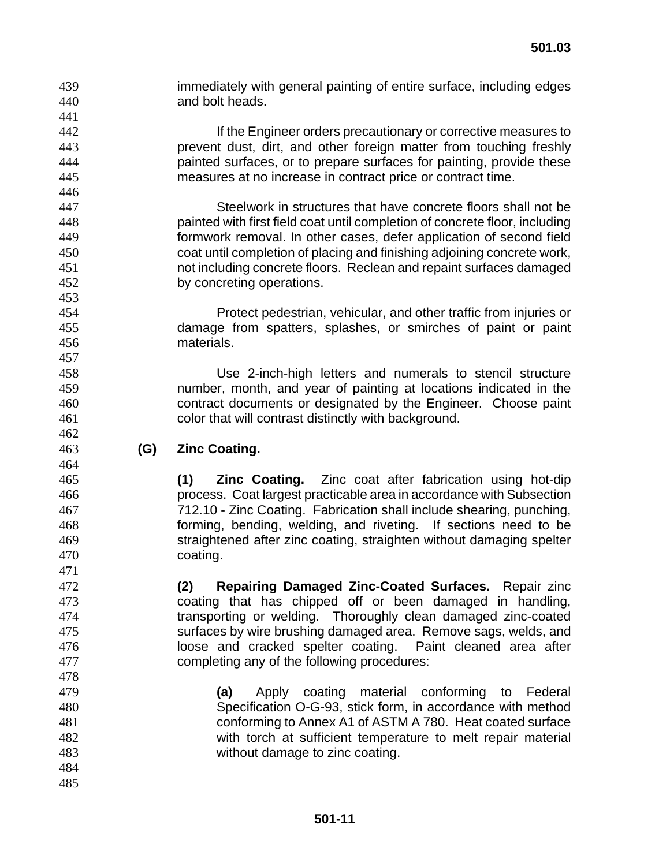- immediately with general painting of entire surface, including edges and bolt heads.
- If the Engineer orders precautionary or corrective measures to prevent dust, dirt, and other foreign matter from touching freshly painted surfaces, or to prepare surfaces for painting, provide these measures at no increase in contract price or contract time.
- Steelwork in structures that have concrete floors shall not be painted with first field coat until completion of concrete floor, including formwork removal. In other cases, defer application of second field coat until completion of placing and finishing adjoining concrete work, not including concrete floors. Reclean and repaint surfaces damaged by concreting operations.
- Protect pedestrian, vehicular, and other traffic from injuries or damage from spatters, splashes, or smirches of paint or paint materials.

Use 2-inch-high letters and numerals to stencil structure number, month, and year of painting at locations indicated in the contract documents or designated by the Engineer. Choose paint color that will contrast distinctly with background.

**(G) Zinc Coating.** 

**(1) Zinc Coating.** Zinc coat after fabrication using hot-dip process. Coat largest practicable area in accordance with Subsection 712.10 - Zinc Coating. Fabrication shall include shearing, punching, forming, bending, welding, and riveting. If sections need to be straightened after zinc coating, straighten without damaging spelter coating.

**(2) Repairing Damaged Zinc-Coated Surfaces.** Repair zinc coating that has chipped off or been damaged in handling, transporting or welding. Thoroughly clean damaged zinc-coated surfaces by wire brushing damaged area. Remove sags, welds, and loose and cracked spelter coating. Paint cleaned area after completing any of the following procedures:

- **(a)** Apply coating material conforming to Federal Specification O-G-93, stick form, in accordance with method conforming to Annex A1 of ASTM A 780. Heat coated surface with torch at sufficient temperature to melt repair material without damage to zinc coating.
- 

 **501-11**